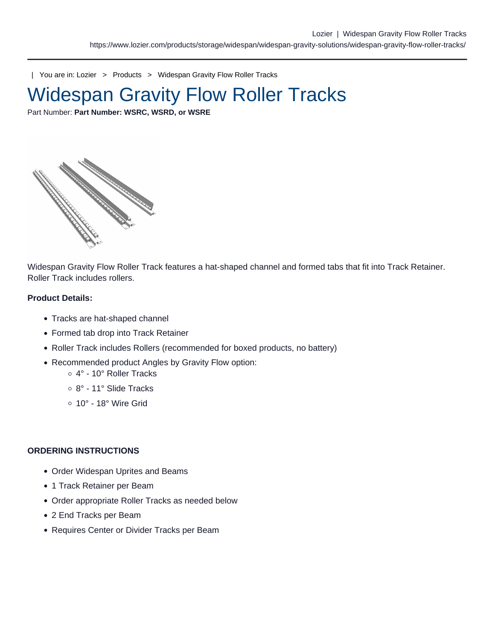| You are in: [Lozier](https://www.lozier.com) > [Products](https://www.lozier.com/products/) > [Widespan Gravity Flow Roller Tracks](https://www.lozier.com/products/storage/widespan/widespan-gravity-solutions/widespan-gravity-flow-roller-tracks/)

## Widespan Gravity Flow Roller Tracks

Part Number: Part Number: WSRC, WSRD, or WSRE

Widespan Gravity Flow Roller Track features a hat-shaped channel and formed tabs that fit into Track Retainer. Roller Track includes rollers.

Product Details:

- Tracks are hat-shaped channel
- Formed tab drop into Track Retainer
- Roller Track includes Rollers (recommended for boxed products, no battery)
- Recommended product Angles by Gravity Flow option:
	- 4° 10° Roller Tracks
	- 8° 11° Slide Tracks
	- $\circ$  10° 18° Wire Grid

## ORDERING INSTRUCTIONS

- Order Widespan Uprites and Beams
- 1 Track Retainer per Beam
- Order appropriate Roller Tracks as needed below
- 2 End Tracks per Beam
- Requires Center or Divider Tracks per Beam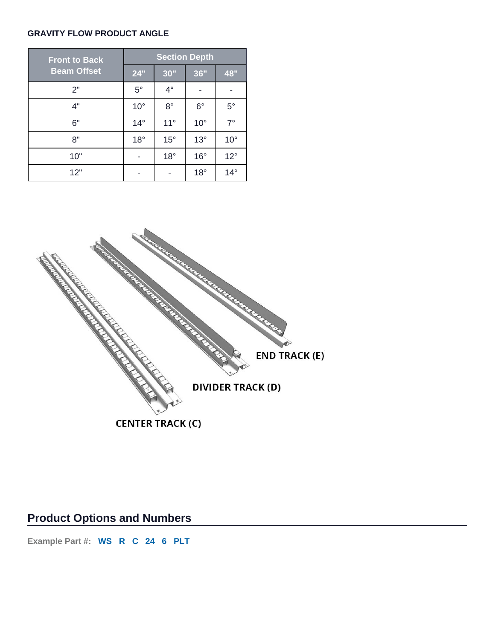## **GRAVITY FLOW PRODUCT ANGLE**

| <b>Front to Back</b><br><b>Beam Offset</b> | <b>Section Depth</b> |              |              |              |
|--------------------------------------------|----------------------|--------------|--------------|--------------|
|                                            | 24"                  | 30"          | 36"          | 48"          |
| 2"                                         | $5^{\circ}$          | $4^{\circ}$  |              |              |
| 4"                                         | $10^{\circ}$         | $8^{\circ}$  | $6^{\circ}$  | $5^{\circ}$  |
| 6"                                         | $14^{\circ}$         | $11^{\circ}$ | $10^{\circ}$ | $7^\circ$    |
| 8"                                         | $18^{\circ}$         | $15^{\circ}$ | $13^\circ$   | $10^{\circ}$ |
| 10"                                        |                      | $18^{\circ}$ | $16^{\circ}$ | $12^{\circ}$ |
| 12"                                        |                      |              | $18^{\circ}$ | $14^{\circ}$ |



## **Product Options and Numbers**

**Example Part #: WS R C 24 6 PLT**